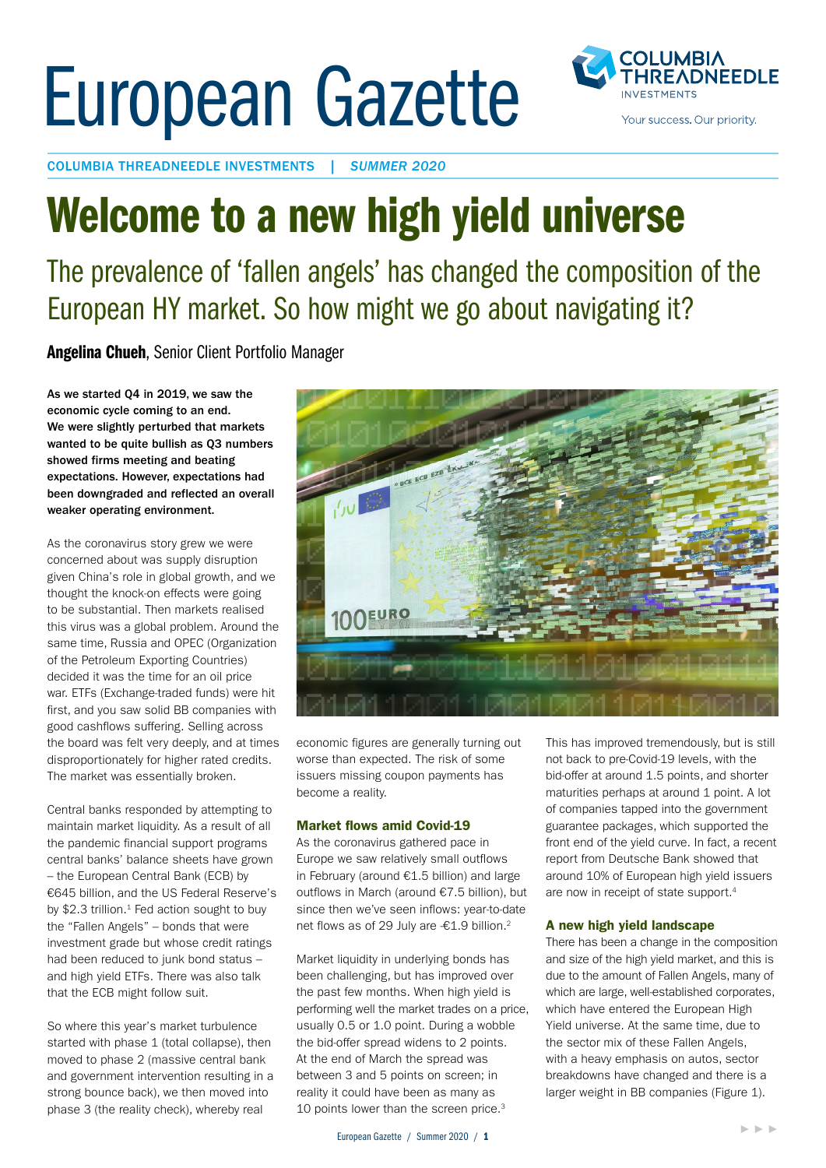# European Gazette



COLUMBIA THREADNEEDLE INVESTMENTS | *SUMMER 2020*

# Welcome to a new high yield universe

## The prevalence of 'fallen angels' has changed the composition of the European HY market. So how might we go about navigating it?

Angelina Chueh, Senior Client Portfolio Manager

As we started Q4 in 2019, we saw the economic cycle coming to an end. We were slightly perturbed that markets wanted to be quite bullish as Q3 numbers showed firms meeting and beating expectations. However, expectations had been downgraded and reflected an overall weaker operating environment.

As the coronavirus story grew we were concerned about was supply disruption given China's role in global growth, and we thought the knock-on effects were going to be substantial. Then markets realised this virus was a global problem. Around the same time, Russia and OPEC (Organization of the Petroleum Exporting Countries) decided it was the time for an oil price war. ETFs (Exchange-traded funds) were hit first, and you saw solid BB companies with good cashflows suffering. Selling across the board was felt very deeply, and at times disproportionately for higher rated credits. The market was essentially broken.

Central banks responded by attempting to maintain market liquidity. As a result of all the pandemic financial support programs central banks' balance sheets have grown – the European Central Bank (ECB) by €645 billion, and the US Federal Reserve's by  $$2.3$  trillion.<sup>1</sup> Fed action sought to buy the "Fallen Angels" – bonds that were investment grade but whose credit ratings had been reduced to junk bond status – and high yield ETFs. There was also talk that the ECB might follow suit.

So where this year's market turbulence started with phase 1 (total collapse), then moved to phase 2 (massive central bank and government intervention resulting in a strong bounce back), we then moved into phase 3 (the reality check), whereby real



economic figures are generally turning out worse than expected. The risk of some issuers missing coupon payments has become a reality.

#### Market flows amid Covid-19

As the coronavirus gathered pace in Europe we saw relatively small outflows in February (around €1.5 billion) and large outflows in March (around €7.5 billion), but since then we've seen inflows: year-to-date net flows as of 29 July are -€1.9 billion.<sup>2</sup>

Market liquidity in underlying bonds has been challenging, but has improved over the past few months. When high yield is performing well the market trades on a price, usually 0.5 or 1.0 point. During a wobble the bid-offer spread widens to 2 points. At the end of March the spread was between 3 and 5 points on screen; in reality it could have been as many as 10 points lower than the screen price.<sup>3</sup>

This has improved tremendously, but is still not back to pre-Covid-19 levels, with the bid-offer at around 1.5 points, and shorter maturities perhaps at around 1 point. A lot of companies tapped into the government guarantee packages, which supported the front end of the yield curve. In fact, a recent report from Deutsche Bank showed that around 10% of European high yield issuers are now in receipt of state support.4

#### A new high yield landscape

There has been a change in the composition and size of the high yield market, and this is due to the amount of Fallen Angels, many of which are large, well-established corporates, which have entered the European High Yield universe. At the same time, due to the sector mix of these Fallen Angels, with a heavy emphasis on autos, sector breakdowns have changed and there is a larger weight in BB companies (Figure 1).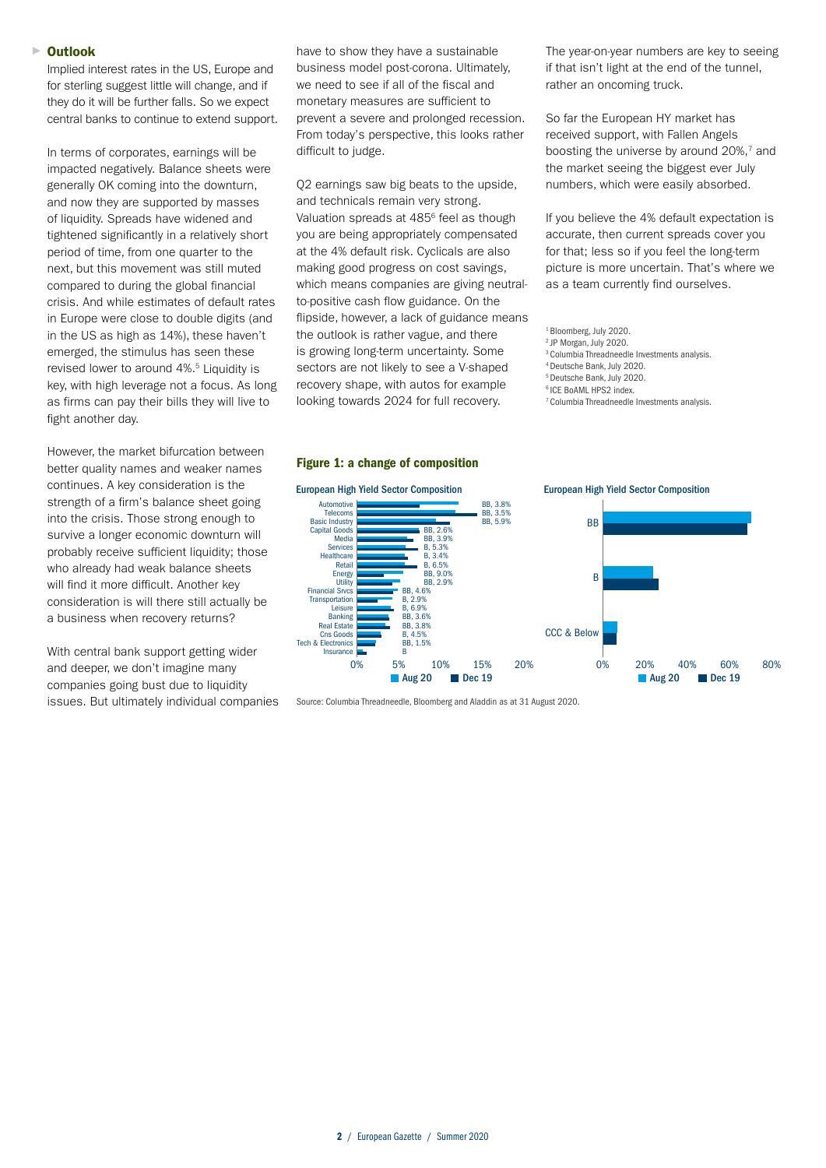#### Outlook ►

Implied interest rates in the US, Europe and for sterling suggest little will change, and if they do it will be further falls. So we expect central banks to continue to extend support.

In terms of corporates, earnings will be impacted negatively. Balance sheets were generally OK coming into the downturn, and now they are supported by masses of liquidity. Spreads have widened and tightened significantly in a relatively short period of time, from one quarter to the next, but this movement was still muted compared to during the global financial crisis. And while estimates of default rates in Europe were close to double digits (and in the US as high as 14%), these haven't emerged, the stimulus has seen these revised lower to around 4%.<sup>5</sup> Liquidity is key, with high leverage not a focus. As long as firms can pay their bills they will live to fight another day.

However, the market bifurcation between better quality names and weaker names continues. A key consideration is the strength of a firm's balance sheet going into the crisis. Those strong enough to survive a longer economic downturn will probably receive sufficient liquidity; those who already had weak balance sheets will find it more difficult. Another key consideration is will there still actually be a business when recovery returns?

With central bank support getting wider and deeper, we don't imagine many companies going bust due to liquidity issues. But ultimately individual companies have to show they have a sustainable business model post-corona. Ultimately, submode meder poor coronal orthonously,<br>we need to see if all of the fiscal and monetary measures are sufficient to prevent a severe and prolonged recession. From today's perspective, this looks rather difficult to judge.

Q2 earnings saw big beats to the upside, and technicals remain very strong. and technicate remain very easing.<br>Valuation spreads at 485<sup>6</sup> feel as though you are being appropriately compensated at the 4% default risk. Cyclicals are also making good progress on cost savings, which means companies are giving neutral-6 to-positive cash flow guidance. On the flipside, however, a lack of guidance means<br>the outlook is rather vague, and there the outlook is rather vague, and there the outlook is rather vague, and there<br>is growing long-term uncertainty. Some sectors are not likely to see a V-shaped zooders are not many to see at a shape. looking towards 2024 for full recovery. note: Loan guarantees are excluded in the specific amount is a specific amount in the news specific amount in the news specific amount in the news specific amount in the news specific amount in the news specific amount in at<br>m<br>w

#### Figure 1: a change of composition



Source: Columbia Threadneedle, Bloomberg and Aladdin as at 31 August 2020.

The year-on-year numbers are key to seeing if that isn't light at the end of the tunnel, rather an oncoming truck.

So far the European HY market has received support, with Fallen Angels boosting the universe by around  $20\%$ ,<sup>7</sup> and the market seeing the biggest ever July numbers, which were easily absorbed.

If you believe the 4% default expectation is accurate, then current spreads cover you for that; less so if you feel the long-term picture is more uncertain. That's where we as a team currently find ourselves.

- 2 JP Morgan, July 2020.
- 3 Columbia Threadneedle Investments analysis.
- 4 Deutsche Bank, July 2020.
- 5 Deutsche Bank, July 2020.
- 6 ICE BoAML HPS2 index.
- 7 Columbia Threadneedle Investments analysis.

<sup>&</sup>lt;sup>1</sup> Bloomberg, July 2020.